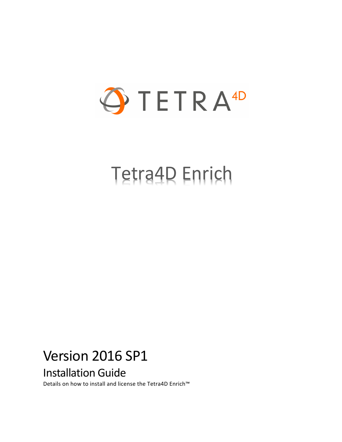

# Tetra4D Enrich

# Version 2016 SP1 Installation Guide

Details on how to install and license the Tetra4D Enrich™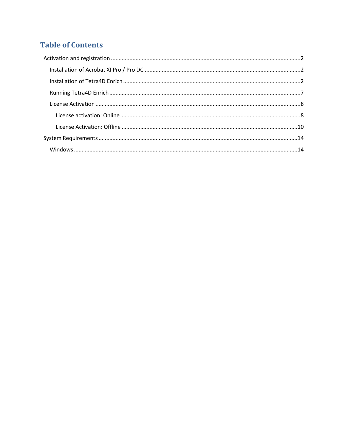### **Table of Contents**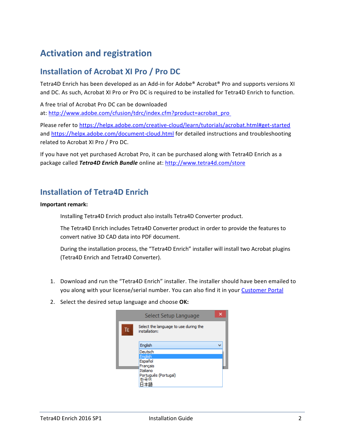## <span id="page-2-0"></span>**Activation and registration**

#### <span id="page-2-1"></span>**Installation of Acrobat XI Pro / Pro DC**

Tetra4D Enrich has been developed as an Add-in for Adobe® Acrobat® Pro and supports versions XI and DC. As such, Acrobat XI Pro or Pro DC is required to be installed for Tetra4D Enrich to function.

A free trial of Acrobat Pro DC can be downloaded at: [http://www.adobe.com/cfusion/tdrc/index.cfm?product=acrobat\\_pro](http://www.adobe.com/cfusion/tdrc/index.cfm?product=acrobat_pro)

Please refer to<https://helpx.adobe.com/creative-cloud/learn/tutorials/acrobat.html#get-started> and<https://helpx.adobe.com/document-cloud.html> for detailed instructions and troubleshooting related to Acrobat XI Pro / Pro DC.

If you have not yet purchased Acrobat Pro, it can be purchased along with Tetra4D Enrich as a package called *Tetra4D Enrich Bundle* online at:<http://www.tetra4d.com/store>

#### <span id="page-2-2"></span>**Installation of Tetra4D Enrich**

#### **Important remark:**

Installing Tetra4D Enrich product also installs Tetra4D Converter product.

The Tetra4D Enrich includes Tetra4D Converter product in order to provide the features to convert native 3D CAD data into PDF document.

During the installation process, the "Tetra4D Enrich" installer will install two Acrobat plugins (Tetra4D Enrich and Tetra4D Converter).

- 1. Download and run the "Tetra4D Enrich" installer. The installer should have been emailed to you along with your license/serial number. You can also find it in your [Customer Portal](https://system.netsuite.com/core/media/media.nl?id=1512340&c=1268810&h=7381c1353a387fc86a78&_xt=.html)
- 2. Select the desired setup language and choose **OK:**

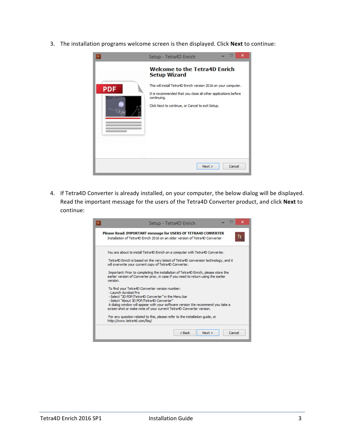3. The installation programs welcome screen is then displayed. Click **Next** to continue:



4. If Tetra4D Converter is already installed, on your computer, the below dialog will be displayed. Read the important message for the users of the Tetra4D Converter product, and click **Next** to continue:

| ×<br>Setup - Tetra4D Enrich<br>TE.                                                                                                                                                                                                                                                                                                                                                                                       |
|--------------------------------------------------------------------------------------------------------------------------------------------------------------------------------------------------------------------------------------------------------------------------------------------------------------------------------------------------------------------------------------------------------------------------|
| Please Read: IMPORTANT message for USERS OF TETRA4D CONVERTER<br>TE<br>Installation of Tetra4D Enrich 2016 on an older version of Tetra4D Converter                                                                                                                                                                                                                                                                      |
| You are about to install Tetra4D Enrich on a computer with Tetra4D Converter.<br>Tetra4D Enrich is based on the very latest of Tetra4D conversion technology, and it<br>will overwrite your current copy of Tetra4D Converter.<br>Important: Prior to completing the installation of Tetra4D Enrich, please store the<br>earlier version of Converter prior, in case if you need to return using the earlier<br>version. |
| To find your Tetra4D Converter version number:<br>- Launch Acrobat Pro<br>- Select "3D PDF/Tetra4D Converter" in the Menu bar<br>- Select "About 3D PDF/Tetra4D Converter"<br>A dialog window will appear with your software version We recommend you take a<br>screen shot or make note of your current Tetra4D Converter version.<br>For any question related to this, please refer to the installation guide, or      |
| http://www.tetra4d.com/fag/<br>$Back$<br>Next ><br>Cancel                                                                                                                                                                                                                                                                                                                                                                |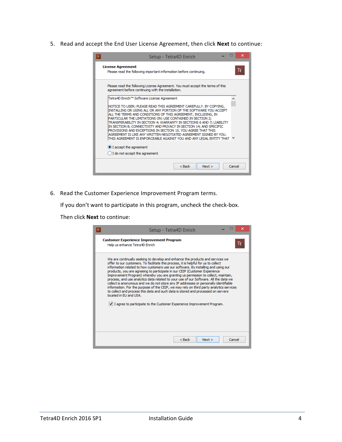5. Read and accept the End User License Agreement, then click **Next** to continue:

| Setup - Tetra4D Enrich                                                                                                                                                                                                                                                                                                                                                                                                                                                                                                                                                                                                            | ×      |
|-----------------------------------------------------------------------------------------------------------------------------------------------------------------------------------------------------------------------------------------------------------------------------------------------------------------------------------------------------------------------------------------------------------------------------------------------------------------------------------------------------------------------------------------------------------------------------------------------------------------------------------|--------|
| <b>License Agreement</b><br>Please read the following important information before continuing.                                                                                                                                                                                                                                                                                                                                                                                                                                                                                                                                    | ΙF     |
| Please read the following License Agreement. You must accept the terms of this<br>agreement before continuing with the installation.                                                                                                                                                                                                                                                                                                                                                                                                                                                                                              |        |
| Tetra4D Enrich™ Software License Agreement                                                                                                                                                                                                                                                                                                                                                                                                                                                                                                                                                                                        | ۸      |
| INOTICE TO USER: PLEASE READ THIS AGREEMENT CAREFULLY, BY COPYING,<br>INSTALLING OR USING ALL OR ANY PORTION OF THE SOFTWARE YOU ACCEPT<br>ALL THE TERMS AND CONDITIONS OF THIS AGREEMENT, INCLUDING, IN<br>PARTICULAR THE LIMITATIONS ON: USE CONTAINED IN SECTION 2;<br>TRANSFERABILITY IN SECTION 4; WARRANTY IN SECTIONS 6 AND 7; LIABILITY<br>IN SECTION 8; CONNECTIVITY AND PRIVACY IN SECTION 14; AND SPECIFIC<br>PROVISIONS AND EXCEPTIONS IN SECTION 15, YOU AGREE THAT THIS<br>AGREEMENT IS LIKE ANY WRITTEN NEGOTIATED AGREEMENT SIGNED BY YOU.<br>THIS AGREEMENT IS ENFORCEABLE AGAINST YOU AND ANY LEGAL ENTITY THAT |        |
| I accept the agreement                                                                                                                                                                                                                                                                                                                                                                                                                                                                                                                                                                                                            |        |
| I do not accept the agreement                                                                                                                                                                                                                                                                                                                                                                                                                                                                                                                                                                                                     |        |
| $Back$<br>Next                                                                                                                                                                                                                                                                                                                                                                                                                                                                                                                                                                                                                    | Cancel |

6. Read the Customer Experience Improvement Program terms.

If you don't want to participate in this program, uncheck the check-box.

Then click **Next** to continue:

| Setup - Tetra4D Enrich                                                                                                                                                                                                                                                                                                                                                                                                                                                                                                                                                                                                                                                                                                                                                                                                                                                                                   |
|----------------------------------------------------------------------------------------------------------------------------------------------------------------------------------------------------------------------------------------------------------------------------------------------------------------------------------------------------------------------------------------------------------------------------------------------------------------------------------------------------------------------------------------------------------------------------------------------------------------------------------------------------------------------------------------------------------------------------------------------------------------------------------------------------------------------------------------------------------------------------------------------------------|
| <b>Customer Experience Improvement Program</b><br>TE.<br>Help us enhance Tetra4D Enrich                                                                                                                                                                                                                                                                                                                                                                                                                                                                                                                                                                                                                                                                                                                                                                                                                  |
| We are continually seeking to develop and enhance the products and services we<br>offer to our customers. To facilitate this process, it is helpful for us to collect<br>information related to how customers use our software. By installing and using our<br>products, you are agreeing to participate in our CEIP (Customer Experience<br>Improvement Program) whereby you are granting us permission to collect, maintain,<br>process, and use analytics data related to your use of our Software. All the data we<br>collect is anonymous and we do not store any IP addresses or personally identifiable<br>information. For the purpose of the CEIP, we may rely on third party analytics services<br>to collect and process this data and such data is stored and processed on servers<br>located in EU and USA.<br>$ v $ I agree to participate to the Customer Experience Improvement Program. |
| Cancel<br>$Back$<br>Next                                                                                                                                                                                                                                                                                                                                                                                                                                                                                                                                                                                                                                                                                                                                                                                                                                                                                 |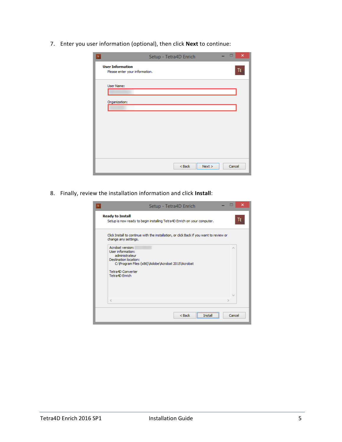7. Enter you user information (optional), then click **Next** to continue:

| $\rm{TE}$                                                 | Setup - Tetra4D Enrich |        | $\times$ |
|-----------------------------------------------------------|------------------------|--------|----------|
| <b>User Information</b><br>Please enter your information. |                        |        | TE.      |
| User Name:<br>Organization:                               |                        |        |          |
|                                                           |                        |        |          |
|                                                           |                        |        |          |
|                                                           |                        |        |          |
|                                                           | $<$ Back<br>Next       | Cancel |          |

8. Finally, review the installation information and click **Install**:

| Setup - Tetra4D Enrich<br>TE                                                                                                                 | ×   |
|----------------------------------------------------------------------------------------------------------------------------------------------|-----|
| <b>Ready to Install</b><br>Setup is now ready to begin installing Tetra4D Enrich on your computer.                                           | TE. |
| Click Install to continue with the installation, or click Back if you want to review or<br>change any settings.                              |     |
| Acrobat version:<br>r.<br>User information:<br>administrateur<br>Destination location:<br>C: \Program Files (x86)\Adobe\Acrobat 2015\Acrobat |     |
| Tetra4D Converter<br>Tetra4D Enrich                                                                                                          |     |
| w<br>$\epsilon$                                                                                                                              |     |
| $Back$<br>Cancel<br>Insta                                                                                                                    |     |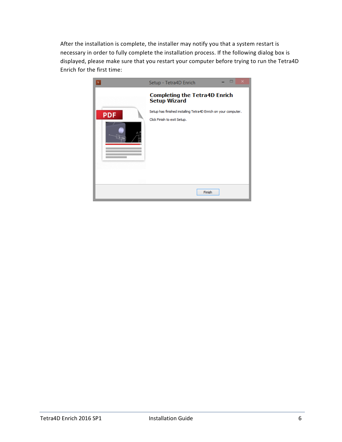After the installation is complete, the installer may notify you that a system restart is necessary in order to fully complete the installation process. If the following dialog box is displayed, please make sure that you restart your computer before trying to run the Tetra4D Enrich for the first time:

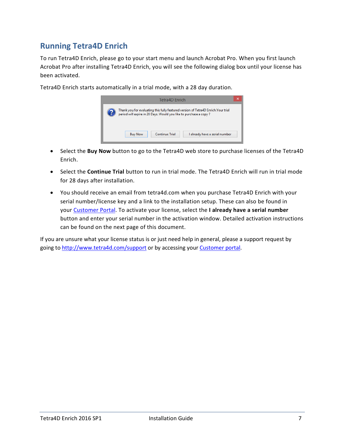#### <span id="page-7-0"></span>**Running Tetra4D Enrich**

To run Tetra4D Enrich, please go to your start menu and launch Acrobat Pro. When you first launch Acrobat Pro after installing Tetra4D Enrich, you will see the following dialog box until your license has been activated.

> Tetra4D Enrich Thank you for evaluating this fully featured version of Tetra4D Enrich.Your trial<br>period will expire in 28 Days. Would you like to purchase a copy ? **Buy Now Continue Trial** I already have a serial number

Tetra4D Enrich starts automatically in a trial mode, with a 28 day duration.

- Select the **Buy Now** button to go to the Tetra4D web store to purchase licenses of the Tetra4D Enrich.
- Select the **Continue Trial** button to run in trial mode. The Tetra4D Enrich will run in trial mode for 28 days after installation.
- You should receive an email from tetra4d.com when you purchase Tetra4D Enrich with your serial number/license key and a link to the installation setup. These can also be found in your [Customer Portal.](https://system.netsuite.com/core/media/media.nl?id=1512340&c=1268810&h=7381c1353a387fc86a78&_xt=.html) To activate your license, select the **I already have a serial number** button and enter your serial number in the activation window. Detailed activation instructions can be found on the next page of this document.

If you are unsure what your license status is or just need help in general, please a support request by going to<http://www.tetra4d.com/support> or by accessing you[r Customer portal.](https://system.netsuite.com/core/media/media.nl?id=1512340&c=1268810&h=7381c1353a387fc86a78&_xt=.html)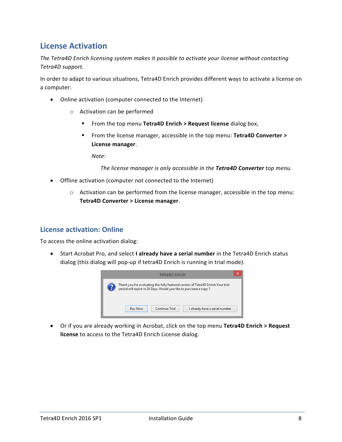#### <span id="page-8-0"></span>**License Activation**

*The Tetra4D Enrich licensing system makes it possible to activate your license without contacting Tetra4D support.*

In order to adapt to various situations, Tetra4D Enrich provides different ways to activate a license on a computer:

- Online activation (computer connected to the Internet)
	- o Activation can be performed
		- From the top menu **Tetra4D Enrich > Request license** dialog box,
		- From the license manager, accessible in the top menu: **Tetra4D Converter > License manager**.

*Note:* 

*The license manager is only accessible in the Tetra4D Converter top menu.*

- Offline activation (computer not connected to the Internet)
	- o Activation can be performed from the license manager, accessible in the top menu: **Tetra4D Converter > License manager**.

#### <span id="page-8-1"></span>**License activation: Online**

To access the online activation dialog:

• Start Acrobat Pro, and select **I already have a serial number** in the Tetra4D Enrich status dialog (this dialog will pop-up if tetra4D Enrich is running in trial mode).



• Or if you are already working in Acrobat, click on the top menu **Tetra4D Enrich > Request license** to access to the Tetra4D Enrich License dialog.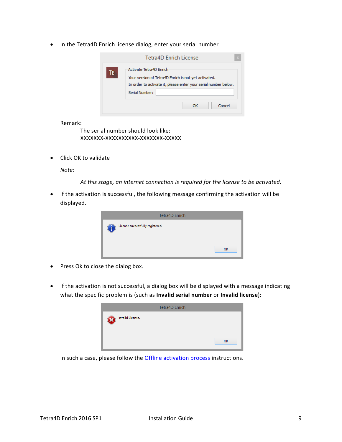• In the Tetra4D Enrich license dialog, enter your serial number

| Activate Tetra4D Enrich<br>TE<br>Your version of Tetra4D Enrich is not yet activated.<br>In order to activate it, please enter your serial number below.<br>Serial Number: | Tetra4D Enrich License |
|----------------------------------------------------------------------------------------------------------------------------------------------------------------------------|------------------------|
|                                                                                                                                                                            |                        |
|                                                                                                                                                                            |                        |

Remark:

The serial number should look like: XXXXXXX-XXXXXXXXXX-XXXXXXX-XXXXX

• Click OK to validate

*Note:*

*At this stage, an internet connection is required for the license to be activated.*

• If the activation is successful, the following message confirming the activation will be displayed.



- Press Ok to close the dialog box.
- If the activation is not successful, a dialog box will be displayed with a message indicating what the specific problem is (such as **Invalid serial number** or **Invalid license**):

|                  | <b>Tetra4D Enrich</b> |    |
|------------------|-----------------------|----|
| Invalid License. |                       |    |
|                  |                       | OK |

In such a case, please follow the **Offline activation process** instructions.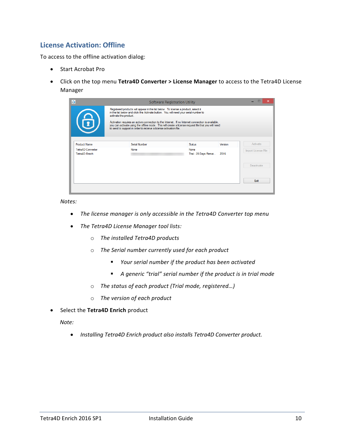#### <span id="page-10-0"></span>**License Activation: Offline**

To access to the offline activation dialog:

- Start Acrobat Pro
- Click on the top menu **Tetra4D Converter > License Manager** to access to the Tetra4D License Manager

| $\blacklozenge$                     | <b>Software Registration Utility</b>                                                                                                                                                                                                                                          |                               |         |                     |
|-------------------------------------|-------------------------------------------------------------------------------------------------------------------------------------------------------------------------------------------------------------------------------------------------------------------------------|-------------------------------|---------|---------------------|
|                                     | Registered products will appear in the list below. To license a product, select it<br>in the list below and click the Activate button. You will need your serial number to<br>activate the product.                                                                           |                               |         |                     |
|                                     | Activation requires an active connection to the Internet. If no Internet connection is available.<br>you can activate using the offline mode. This will create a license request file that you will need<br>to send to support in order to receive a license activation file. |                               |         |                     |
| <b>Product Name</b>                 | Serial Number                                                                                                                                                                                                                                                                 | <b>Status</b>                 | Version | Activate            |
| Tetra4D Converter<br>Tetra4D Enrich | None                                                                                                                                                                                                                                                                          | None<br>Trial - 28 Days Remai | 2016    | Import License File |
|                                     |                                                                                                                                                                                                                                                                               |                               |         | <b>Deactivate</b>   |
|                                     |                                                                                                                                                                                                                                                                               |                               |         | Exit                |
|                                     |                                                                                                                                                                                                                                                                               |                               |         |                     |

*Notes:*

- *The license manager is only accessible in the Tetra4D Converter top menu*
- *The Tetra4D License Manager tool lists:*
	- o *The installed Tetra4D products*
	- o *The Serial number currently used for each product*
		- *Your serial number if the product has been activated*
		- *A generic "trial" serial number if the product is in trial mode*
	- o *The status of each product (Trial mode, registered…)*
	- o *The version of each product*
- Select the **Tetra4D Enrich** product

*Note:*

• *Installing Tetra4D Enrich product also installs Tetra4D Converter product.*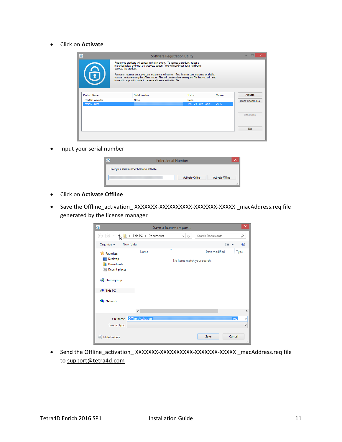• Click on **Activate**

| $\blacklozenge$     |                                                                                                                                                                                                                                                                                                                                                                                                                                                                                      | <b>Software Registration Utility</b> |         |                     |
|---------------------|--------------------------------------------------------------------------------------------------------------------------------------------------------------------------------------------------------------------------------------------------------------------------------------------------------------------------------------------------------------------------------------------------------------------------------------------------------------------------------------|--------------------------------------|---------|---------------------|
| 6                   | Registered products will appear in the list below. To license a product, select it<br>in the list below and click the Activate button. You will need your serial number to<br>activate the product.<br>Activation requires an active connection to the Internet. If no Internet connection is available.<br>you can activate using the offline mode. This will create a license request file that you will need<br>to send to support in order to receive a license activation file. |                                      |         |                     |
| <b>Product Name</b> | Serial Number                                                                                                                                                                                                                                                                                                                                                                                                                                                                        | Status                               | Version | Activate            |
| Tetra4D Converter   | None                                                                                                                                                                                                                                                                                                                                                                                                                                                                                 | None                                 |         | Import License File |
| Tetra4D Enrich      |                                                                                                                                                                                                                                                                                                                                                                                                                                                                                      | Trial - 28 Days Remai                | 2016    |                     |
|                     |                                                                                                                                                                                                                                                                                                                                                                                                                                                                                      |                                      |         | Deactivate          |
|                     |                                                                                                                                                                                                                                                                                                                                                                                                                                                                                      |                                      |         | Exit                |
|                     |                                                                                                                                                                                                                                                                                                                                                                                                                                                                                      |                                      |         |                     |

• Input your serial number

| <b>Enter Serial Number</b>                  | ×  |
|---------------------------------------------|----|
| Enter your serial number below to activate. |    |
| Activate Online<br>Activate Offline         |    |
|                                             | .: |

- Click on **Activate Offline**
- Save the Offline\_activation\_ XXXXXXX-XXXXXXXXXXXXXXXXXXXXXXX \_macAddress.req file generated by the license manager

| $\ddot{\Phi}$                                                                                              |                           | Save a license request           |                  |             | $\boldsymbol{\times}$ |
|------------------------------------------------------------------------------------------------------------|---------------------------|----------------------------------|------------------|-------------|-----------------------|
| $(\Leftrightarrow)$<br>$\leftrightarrow$                                                                   | > This PC > Documents     | Ċ<br>v                           | Search Documents |             | ρ                     |
| Organize $\blacktriangledown$<br>New folder                                                                |                           |                                  |                  | 888 ▼       |                       |
| <b>X</b> Favorites<br>Desktop<br>Downloads<br>lń.<br><b>Recent places</b><br><b>R</b> Homegroup<br>This PC | Name                      | ×<br>No items match your search. | Date modified    | <b>Type</b> |                       |
| <b>Cu</b> Network                                                                                          |                           |                                  |                  |             |                       |
|                                                                                                            | $\langle$                 |                                  |                  |             | Y.                    |
| File name:                                                                                                 | <b>Offline Activation</b> |                                  |                  | .req        | v                     |
| Save as type:                                                                                              |                           |                                  |                  |             | $\checkmark$          |
| <b>Hide Folders</b>                                                                                        |                           |                                  | Save             | Cancel      | $\mathcal{M}$         |

• Send the Offline\_activation\_ XXXXXXX-XXXXXXXXXXXXXXXXXXXXXX \_macAddress.req file to [support@tetra4d.com](mailto:support@tetra4d.com)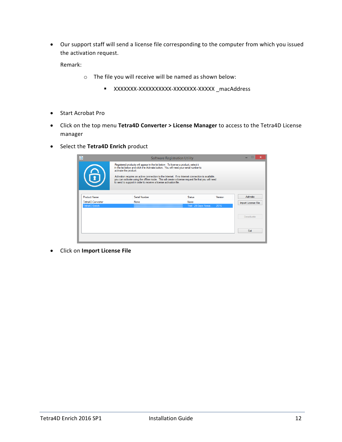• Our support staff will send a license file corresponding to the computer from which you issued the activation request.

Remark:

- o The file you will receive will be named as shown below:
	- XXXXXXX-XXXXXXXXXX-XXXXXXX-XXXXX \_macAddress
- Start Acrobat Pro
- Click on the top menu **Tetra4D Converter > License Manager** to access to the Tetra4D License manager
- Select the **Tetra4D Enrich** product

| $\overline{\Phi}$   | <b>Software Registration Utility</b>                                                                                                                                                                                                                                          |                       |         |                     |  |  |  |
|---------------------|-------------------------------------------------------------------------------------------------------------------------------------------------------------------------------------------------------------------------------------------------------------------------------|-----------------------|---------|---------------------|--|--|--|
|                     | Registered products will appear in the list below. To license a product, select it<br>in the list below and click the Activate button. You will need your serial number to<br>activate the product.                                                                           |                       |         |                     |  |  |  |
| 6                   | Activation requires an active connection to the Internet. If no Internet connection is available.<br>you can activate using the offline mode. This will create a license request file that you will need<br>to send to support in order to receive a license activation file. |                       |         |                     |  |  |  |
| <b>Product Name</b> | Serial Number                                                                                                                                                                                                                                                                 | <b>Status</b>         | Version | Activate            |  |  |  |
| Tetra4D Converter   | None                                                                                                                                                                                                                                                                          | None                  |         | Import License File |  |  |  |
| Tetra4D Enrich      |                                                                                                                                                                                                                                                                               | Trial - 28 Days Remai | 2016    |                     |  |  |  |
|                     |                                                                                                                                                                                                                                                                               |                       |         | Deactivate          |  |  |  |
|                     |                                                                                                                                                                                                                                                                               |                       |         | Exit                |  |  |  |

• Click on **Import License File**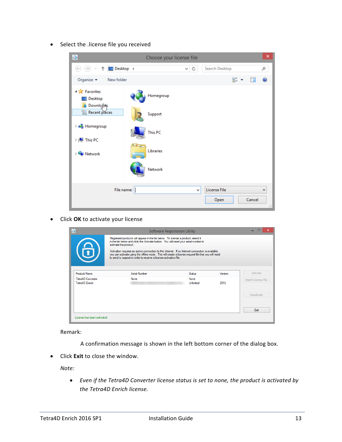• Select the .license file you received

| $\overline{\Phi}$                                                    |                  | Choose your license file |                      | ×                                       |
|----------------------------------------------------------------------|------------------|--------------------------|----------------------|-----------------------------------------|
| $\Box$ Desktop $\rightarrow$<br>⊖<br>$\Leftarrow$<br>个               |                  | C<br>v.                  | Search Desktop       | مر                                      |
| Organize $\blacktriangledown$<br>New folder                          |                  |                          | 50                   | 0                                       |
| ▲ A Favorites<br>Desktop<br><b>Downloak</b>                          | Homegroup        |                          |                      |                                         |
| <b>Recent places</b>                                                 | Support          |                          |                      |                                         |
| <b>B</b> Homegroup                                                   | This PC          |                          |                      |                                         |
| $\triangleright$ [ $\blacksquare$ This PC<br><b>Computer Network</b> | <b>Libraries</b> |                          |                      |                                         |
|                                                                      | Network          |                          |                      |                                         |
|                                                                      | File name:       | ٧                        | License File<br>Open | $\checkmark$<br>Cancel<br>$\mathcal{A}$ |

• Click **OK** to activate your license

|                                     | <b>Software Registration Utility</b><br>Registered products will appear in the list below. To license a product, select it<br>in the list below and click the Activate button. You will need your serial number to<br>activate the product.                                   |                          |         |                     |  |  |  |
|-------------------------------------|-------------------------------------------------------------------------------------------------------------------------------------------------------------------------------------------------------------------------------------------------------------------------------|--------------------------|---------|---------------------|--|--|--|
| 6                                   | Activation requires an active connection to the Internet. If no Internet connection is available,<br>you can activate using the offline mode. This will create a license request file that you will need<br>to send to support in order to receive a license activation file. |                          |         |                     |  |  |  |
| <b>Product Name</b>                 | Serial Number                                                                                                                                                                                                                                                                 | Status                   | Version | Activate            |  |  |  |
| Tetra4D Converter<br>Tetra4D Enrich | None                                                                                                                                                                                                                                                                          | <b>None</b><br>Unlimited | 2016    | Import License File |  |  |  |
|                                     |                                                                                                                                                                                                                                                                               |                          |         | Deactivate          |  |  |  |
|                                     |                                                                                                                                                                                                                                                                               |                          |         |                     |  |  |  |

Remark:

A confirmation message is shown in the left bottom corner of the dialog box.

• Click **Exit** to close the window.

*Note:*

• *Even if the Tetra4D Converter license status is set to none, the product is activated by the Tetra4D Enrich license.*